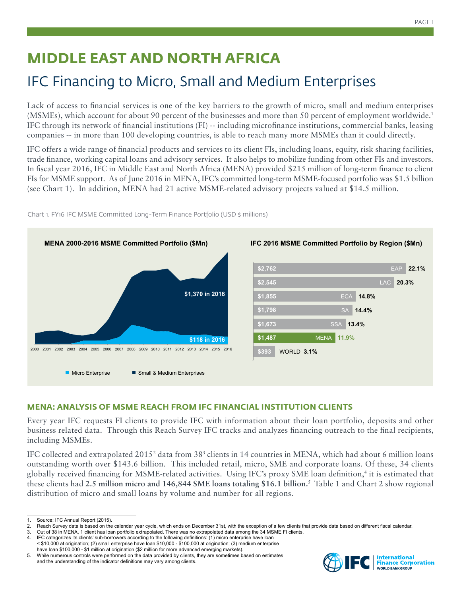# **MIDDLE EAST AND NORTH AFRICA**

# IFC Financing to Micro, Small and Medium Enterprises

Lack of access to financial services is one of the key barriers to the growth of micro, small and medium enterprises (MSMEs), which account for about 90 percent of the businesses and more than 50 percent of employment worldwide.1 IFC through its network of financial institutions (FI) -- including microfinance institutions, commercial banks, leasing companies -- in more than 100 developing countries, is able to reach many more MSMEs than it could directly.

IFC offers a wide range of financial products and services to its client FIs, including loans, equity, risk sharing facilities, trade finance, working capital loans and advisory services. It also helps to mobilize funding from other FIs and investors. In fiscal year 2016, IFC in Middle East and North Africa (MENA) provided \$215 million of long-term finance to client FIs for MSME support. As of June 2016 in MENA, IFC's committed long-term MSME-focused portfolio was \$1.5 billion (see Chart 1). In addition, MENA had 21 active MSME-related advisory projects valued at \$14.5 million.



Chart 1. FY16 IFC MSME Committed Long-Term Finance Portfolio (USD \$ millions)

## **MENA: ANALYSIS OF MSME REACH FROM IFC FINANCIAL INSTITUTION CLIENTS**

Every year IFC requests FI clients to provide IFC with information about their loan portfolio, deposits and other business related data. Through this Reach Survey IFC tracks and analyzes financing outreach to the final recipients, including MSMEs.

IFC collected and extrapolated 2015<sup>2</sup> data from 38<sup>3</sup> clients in 14 countries in MENA, which had about 6 million loans outstanding worth over \$143.6 billion. This included retail, micro, SME and corporate loans. Of these, 34 clients globally received financing for MSME-related activities. Using IFC's proxy SME loan definition,4 it is estimated that these clients had **2.5 million micro and 146,844 SME loans totaling \$16.1 billion.**<sup>5</sup> Table 1 and Chart 2 show regional distribution of micro and small loans by volume and number for all regions.



Source: IFC Annual Report (2015).

<sup>2.</sup> Reach Survey data is based on the calendar year cycle, which ends on December 31st, with the exception of a few clients that provide data based on different fiscal calendar.<br>3. Out of 38 in MENA, 1 client has loan portf

Out of 38 in MENA, 1 client has loan portfolio extrapolated. There was no extrapolated data among the 34 MSME FI clients.

<sup>4.</sup> IFC categorizes its clients' sub-borrowers according to the following definitions: (1) micro enterprise have loan < \$10,000 at origination; (2) small enterprise have loan \$10,000 - \$100,000 at origination; (3) medium enterprise have loan \$100,000 - \$1 million at origination (\$2 million for more advanced emerging markets).

<sup>5.</sup> While numerous controls were performed on the data provided by clients, they are sometimes based on estimates and the understanding of the indicator definitions may vary among clients.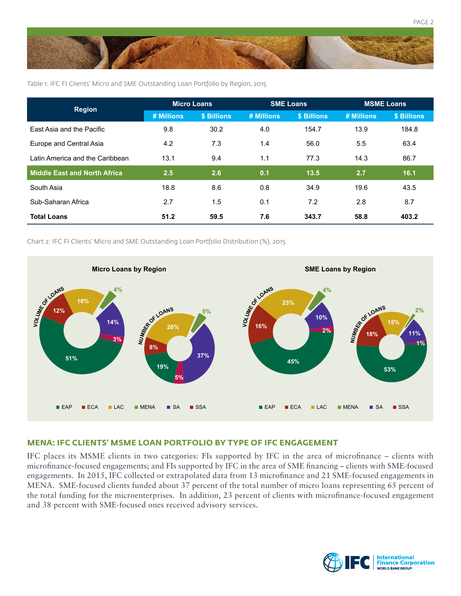

Table 1: IFC FI Clients' Micro and SME Outstanding Loan Portfolio by Region, 2015

| <b>Region</b>                   | <b>Micro Loans</b> |             | <b>SME Loans</b> |             | <b>MSME Loans</b> |             |
|---------------------------------|--------------------|-------------|------------------|-------------|-------------------|-------------|
|                                 | # Millions         | \$ Billions | # Millions       | \$ Billions | # Millions        | \$ Billions |
| East Asia and the Pacific       | 9.8                | 30.2        | 4.0              | 154.7       | 13.9              | 184.8       |
| Europe and Central Asia         | 4.2                | 7.3         | 1.4              | 56.0        | 5.5               | 63.4        |
| Latin America and the Caribbean | 13.1               | 9.4         | 1.1              | 77.3        | 14.3              | 86.7        |
| Middle East and North Africa    | 2.5                | 2.6         | 0.1              | 13.5        | 2.7               | 16.1        |
| South Asia                      | 18.8               | 8.6         | 0.8              | 34.9        | 19.6              | 43.5        |
| Sub-Saharan Africa              | 2.7                | 1.5         | 0.1              | 7.2         | 2.8               | 8.7         |
| <b>Total Loans</b>              | 51.2               | 59.5        | 7.6              | 343.7       | 58.8              | 403.2       |

Chart 2: IFC FI Clients' Micro and SME Outstanding Loan Portfolio Distribution (%), 2015



### **MENA: IFC CLIENTS' MSME LOAN PORTFOLIO BY TYPE OF IFC ENGAGEMENT**

IFC places its MSME clients in two categories: FIs supported by IFC in the area of microfinance – clients with microfinance-focused engagements; and FIs supported by IFC in the area of SME financing – clients with SME-focused engagements. In 2015, IFC collected or extrapolated data from 13 microfinance and 21 SME-focused engagements in MENA. SME-focused clients funded about 37 percent of the total number of micro loans representing 65 percent of the total funding for the microenterprises. In addition, 23 percent of clients with microfinance-focused engagement and 38 percent with SME-focused ones received advisory services.



PAGE 2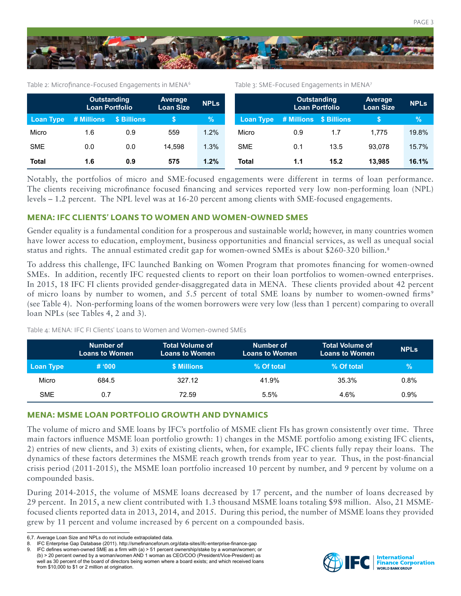

Table 2: Microfinance-Focused Engagements in MENA<sup>6</sup>

Table 3: SME-Focused Engagements in MENA<sup>7</sup>

PAGE 3

|                  | <b>Outstanding</b><br><b>Loan Portfolio</b> |             | Average<br><b>Loan Size</b> | <b>NPLs</b> |                     | <b>Outstanding</b><br><b>Loan Portfolio</b> |      | Average<br><b>Loan Size</b> | <b>NPLs</b> |
|------------------|---------------------------------------------|-------------|-----------------------------|-------------|---------------------|---------------------------------------------|------|-----------------------------|-------------|
| <b>Loan Type</b> | # Millions                                  | \$ Billions |                             | $\%$        | <u>/ Lo</u> an Type | # Millions \$ Billions                      |      |                             | $\%$        |
| Micro            | 1.6                                         | 0.9         | 559                         | 1.2%        | Micro               | 0.9                                         | 1.7  | 1.775                       | 19.8%       |
| <b>SME</b>       | 0.0                                         | 0.0         | 14.598                      | 1.3%        | <b>SME</b>          | 0.1                                         | 13.5 | 93.078                      | 15.7%       |
| <b>Total</b>     | 1.6                                         | 0.9         | 575                         | 1.2%        | Total               | 1.1                                         | 15.2 | 13.985                      | 16.1%       |

Notably, the portfolios of micro and SME-focused engagements were different in terms of loan performance. The clients receiving microfinance focused financing and services reported very low non-performing loan (NPL) levels – 1.2 percent. The NPL level was at 16-20 percent among clients with SME-focused engagements.

#### **MENA: IFC CLIENTS' LOANS TO WOMEN AND WOMEN-OWNED SMES**

Gender equality is a fundamental condition for a prosperous and sustainable world; however, in many countries women have lower access to education, employment, business opportunities and financial services, as well as unequal social status and rights. The annual estimated credit gap for women-owned SMEs is about \$260-320 billion.<sup>8</sup>

To address this challenge, IFC launched Banking on Women Program that promotes financing for women-owned SMEs. In addition, recently IFC requested clients to report on their loan portfolios to women-owned enterprises. In 2015, 18 IFC FI clients provided gender-disaggregated data in MENA. These clients provided about 42 percent of micro loans by number to women, and 5.5 percent of total SME loans by number to women-owned firms<sup>9</sup> (see Table 4). Non-performing loans of the women borrowers were very low (less than 1 percent) comparing to overall loan NPLs (see Tables 4, 2 and 3).

|            | Number of<br><b>Loans to Women</b> | <b>Total Volume of</b><br><b>Loans to Women</b> | Number of<br><b>Loans to Women</b> | <b>Total Volume of</b><br><b>Loans to Women</b> | <b>NPLs</b> |
|------------|------------------------------------|-------------------------------------------------|------------------------------------|-------------------------------------------------|-------------|
| Loan Type  | # 000                              | \$ Millions                                     | % Of total                         | % Of total                                      | $\%$        |
| Micro      | 684.5                              | 327.12                                          | 41.9%                              | 35.3%                                           | 0.8%        |
| <b>SME</b> | 0.7                                | 72.59                                           | 5.5%                               | 4.6%                                            | 0.9%        |

Table 4: MENA: IFC FI Clients' Loans to Women and Women-owned SMEs

#### **MENA: MSME LOAN PORTFOLIO GROWTH AND DYNAMICS**

The volume of micro and SME loans by IFC's portfolio of MSME client FIs has grown consistently over time. Three main factors influence MSME loan portfolio growth: 1) changes in the MSME portfolio among existing IFC clients, 2) entries of new clients, and 3) exits of existing clients, when, for example, IFC clients fully repay their loans. The dynamics of these factors determines the MSME reach growth trends from year to year. Thus, in the post-financial crisis period (2011-2015), the MSME loan portfolio increased 10 percent by number, and 9 percent by volume on a compounded basis.

During 2014-2015, the volume of MSME loans decreased by 17 percent, and the number of loans decreased by 29 percent. In 2015, a new client contributed with 1.3 thousand MSME loans totaling \$98 million. Also, 21 MSMEfocused clients reported data in 2013, 2014, and 2015. During this period, the number of MSME loans they provided grew by 11 percent and volume increased by 6 percent on a compounded basis.



<sup>6,7.</sup> Average Loan Size and NPLs do not include extrapolated data.

<sup>8.</sup> IFC Enterprise Gap Database (2011). http://smefinanceforum.org/data-sites/ifc-enterprise-finance-gap

<sup>9.</sup> IFC defines women-owned SME as a firm with (a) > 51 percent ownership/stake by a woman/women; or (b) > 20 percent owned by a woman/women AND 1 woman as CEO/COO (President/Vice-President) as well as 30 percent of the board of directors being women where a board exists; and which received loans from \$10,000 to \$1 or 2 million at origination.